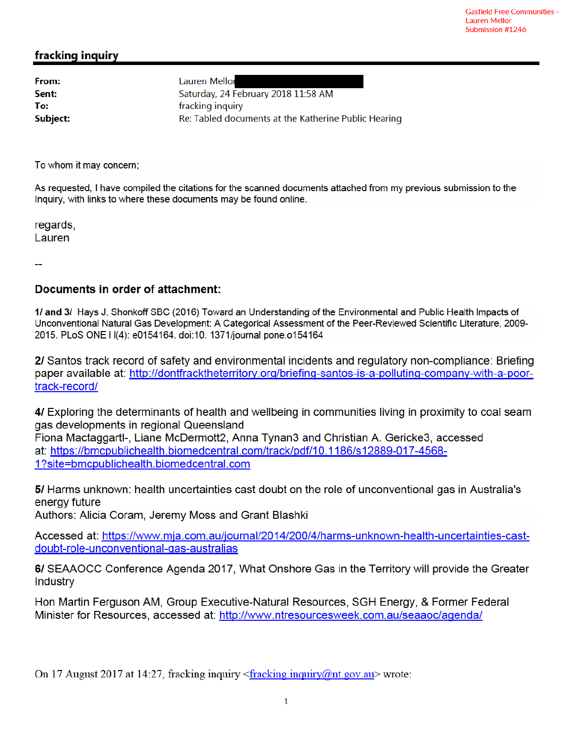## fracking inquiry

From: Sent: To: **Subject:**  Lauren Mellor Saturday, 24 February 2018 11:58 AM fracking inquiry Re: Tabled documents at the Katherine Public Hearing

To whom it may concern;

As requested, I have compiled the citations for the scanned documents attached from my previous submission to the Inquiry, with links to where these documents may be found online.

regards, Lauren

### Documents in order of attachment:

1/ and 3/ Hays J, Shonkoff SBC (2016) Toward an Understanding of the Environmental and Public Health Impacts of Unconventional Natural Gas Development: A Categorical Assessment of the Peer-Reviewed Scientific Literature, 2009-2015. PLoS ONE I I(4): e0154164. doi:10. 1371/journal pone.o154164

2/ Santos track record of safety and environmental incidents and regulatory non-compliance: Briefing paper available at: http://dontfracktheterritory.org/briefing-santos-is-a-polluting-company-with-a-poortrack-record/

4/ Exploring the determinants of health and wellbeing in communities living in proximity to coal seam gas developments in regional Queensland Fiona Mactaggartl-, Liane McDermott2, Anna Tynan3 and Christian A. Gericke3, accessed at: https://bmcpublichealth.biomedcentral.com/track/pdf/10.1186/s12889-017-4568-1?site=bmcpublichealth.biomedcentral.com

5/ Harms unknown: health uncertainties cast doubt on the role of unconventional gas in Australia's energy future

Authors: Alicia Coram, Jeremy Moss and Grant Blashki

Accessed at: https://www.mja.com.au/journal/2014/200/4/harms-unknown-health-uncertainties-castdoubt-role-unconventional-gas-australias

6/ SEAAOCC Conference Agenda 2017, What Onshore Gas in the Territory will provide the Greater **Industry** 

Hon Martin Ferguson AM, Group Executive-Natural Resources, SGH Energy, & Former Federal Minister for Resources, accessed at: http://www.ntresourcesweek.com.au/seaaoc/agenda/

On 17 August 2017 at 14:27, fracking inquiry <fracking.inquiry@nt.gov.au> wrote: